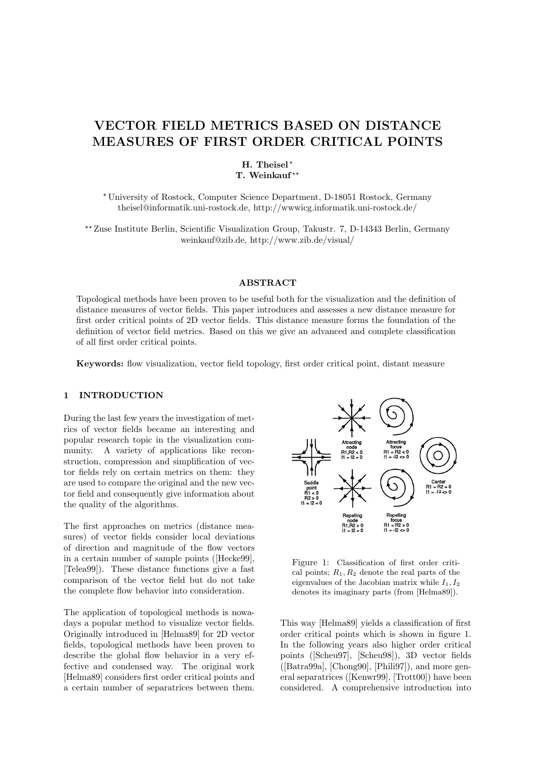# VECTOR FIELD METRICS BASED ON DISTANCE MEASURES OF FIRST ORDER CRITICAL POINTS

# H. Theisel<sup>\*</sup> T. Weinkauf\*\*

? University of Rostock, Computer Science Department, D-18051 Rostock, Germany theisel@informatik.uni-rostock.de, http://wwwicg.informatik.uni-rostock.de/

?? Zuse Institute Berlin, Scientific Visualization Group, Takustr. 7, D-14343 Berlin, Germany weinkauf@zib.de, http://www.zib.de/visual/

## ABSTRACT

Topological methods have been proven to be useful both for the visualization and the definition of distance measures of vector fields. This paper introduces and assesses a new distance measure for first order critical points of 2D vector fields. This distance measure forms the foundation of the definition of vector field metrics. Based on this we give an advanced and complete classification of all first order critical points.

Keywords: flow visualization, vector field topology, first order critical point, distant measure

#### 1 INTRODUCTION

During the last few years the investigation of metrics of vector fields became an interesting and popular research topic in the visualization community. A variety of applications like reconstruction, compression and simplification of vector fields rely on certain metrics on them: they are used to compare the original and the new vector field and consequently give information about the quality of the algorithms.

The first approaches on metrics (distance measures) of vector fields consider local deviations of direction and magnitude of the flow vectors in a certain number of sample points ([Hecke99], [Telea99]). These distance functions give a fast comparison of the vector field but do not take the complete flow behavior into consideration.

The application of topological methods is nowadays a popular method to visualize vector fields. Originally introduced in [Helma89] for 2D vector fields, topological methods have been proven to describe the global flow behavior in a very effective and condensed way. The original work [Helma89] considers first order critical points and a certain number of separatrices between them.



Figure 1: Classification of first order critical points;  $R_1, R_2$  denote the real parts of the eigenvalues of the Jacobian matrix while  $I_1, I_2$ denotes its imaginary parts (from [Helma89]).

This way [Helma89] yields a classification of first order critical points which is shown in figure 1. In the following years also higher order critical points ([Scheu97], [Scheu98]), 3D vector fields ([Batra99a], [Chong90], [Phili97]), and more general separatrices ([Kenwr99], [Trott00]) have been considered. A comprehensive introduction into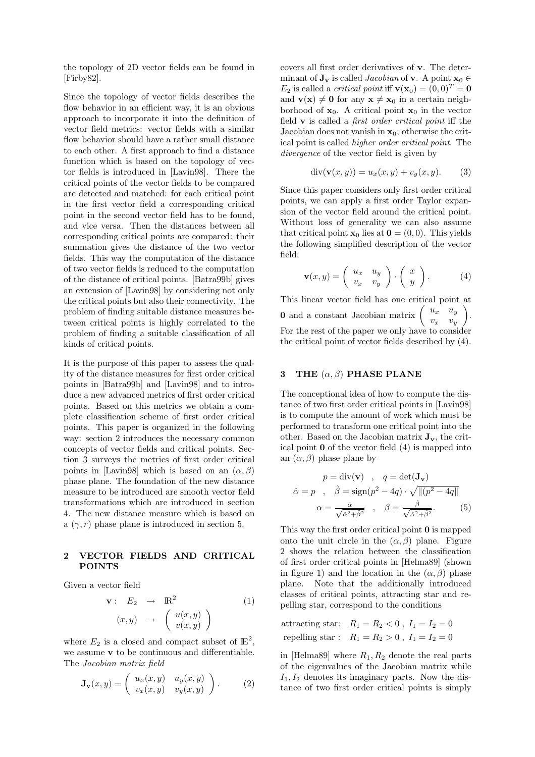the topology of 2D vector fields can be found in [Firby82].

Since the topology of vector fields describes the flow behavior in an efficient way, it is an obvious approach to incorporate it into the definition of vector field metrics: vector fields with a similar flow behavior should have a rather small distance to each other. A first approach to find a distance function which is based on the topology of vector fields is introduced in [Lavin98]. There the critical points of the vector fields to be compared are detected and matched: for each critical point in the first vector field a corresponding critical point in the second vector field has to be found, and vice versa. Then the distances between all corresponding critical points are compared: their summation gives the distance of the two vector fields. This way the computation of the distance of two vector fields is reduced to the computation of the distance of critical points. [Batra99b] gives an extension of [Lavin98] by considering not only the critical points but also their connectivity. The problem of finding suitable distance measures between critical points is highly correlated to the problem of finding a suitable classification of all kinds of critical points.

It is the purpose of this paper to assess the quality of the distance measures for first order critical points in [Batra99b] and [Lavin98] and to introduce a new advanced metrics of first order critical points. Based on this metrics we obtain a complete classification scheme of first order critical points. This paper is organized in the following way: section 2 introduces the necessary common concepts of vector fields and critical points. Section 3 surveys the metrics of first order critical points in [Lavin98] which is based on an  $(\alpha, \beta)$ phase plane. The foundation of the new distance measure to be introduced are smooth vector field transformations which are introduced in section 4. The new distance measure which is based on a  $(\gamma, r)$  phase plane is introduced in section 5.

## 2 VECTOR FIELDS AND CRITICAL POINTS

Given a vector field

$$
\mathbf{v}: E_2 \rightarrow \mathbb{R}^2
$$
  

$$
(x, y) \rightarrow \begin{pmatrix} u(x, y) \\ v(x, y) \end{pmatrix}
$$
 (1)

where  $E_2$  is a closed and compact subset of  $\mathbb{E}^2$ , we assume **v** to be continuous and differentiable. The Jacobian matrix field

$$
\mathbf{J}_{\mathbf{v}}(x,y) = \begin{pmatrix} u_x(x,y) & u_y(x,y) \\ v_x(x,y) & v_y(x,y) \end{pmatrix}.
$$
 (2)

covers all first order derivatives of v. The determinant of  $J_v$  is called *Jacobian* of v. A point  $x_0 \in$  $E_2$  is called a *critical point* iff  $\mathbf{v}(\mathbf{x}_0) = (0,0)^T = \mathbf{0}$ and  $\mathbf{v}(\mathbf{x}) \neq \mathbf{0}$  for any  $\mathbf{x} \neq \mathbf{x}_0$  in a certain neighborhood of  $x_0$ . A critical point  $x_0$  in the vector field  $\bf{v}$  is called a *first order critical point* iff the Jacobian does not vanish in  $x_0$ ; otherwise the critical point is called higher order critical point. The divergence of the vector field is given by

$$
\operatorname{div}(\mathbf{v}(x,y)) = u_x(x,y) + v_y(x,y). \tag{3}
$$

Since this paper considers only first order critical points, we can apply a first order Taylor expansion of the vector field around the critical point. Without loss of generality we can also assume that critical point  $\mathbf{x}_0$  lies at  $\mathbf{0} = (0, 0)$ . This yields the following simplified description of the vector field:

$$
\mathbf{v}(x,y) = \begin{pmatrix} u_x & u_y \\ v_x & v_y \end{pmatrix} \cdot \begin{pmatrix} x \\ y \end{pmatrix}.
$$
 (4)

This linear vector field has one critical point at **0** and a constant Jacobian matrix  $\begin{pmatrix} u_x & u_y \\ u_y & u_z \end{pmatrix}$  $v_x$   $v_y$  $\setminus$ . For the rest of the paper we only have to consider the critical point of vector fields described by (4).

## 3 THE  $(\alpha, \beta)$  PHASE PLANE

The conceptional idea of how to compute the distance of two first order critical points in [Lavin98] is to compute the amount of work which must be performed to transform one critical point into the other. Based on the Jacobian matrix  $\mathbf{J}_{\mathbf{v}}$ , the critical point 0 of the vector field (4) is mapped into an  $(\alpha, \beta)$  phase plane by

$$
p = \text{div}(\mathbf{v}) , q = \text{det}(\mathbf{J}_{\mathbf{v}})
$$

$$
\hat{\alpha} = p , \quad \hat{\beta} = \text{sign}(p^2 - 4q) \cdot \sqrt{|| (p^2 - 4q ||})
$$

$$
\alpha = \frac{\hat{\alpha}}{\sqrt{\hat{\alpha}^2 + \hat{\beta}^2}}, \quad \beta = \frac{\hat{\beta}}{\sqrt{\hat{\alpha}^2 + \hat{\beta}^2}}. \tag{5}
$$

This way the first order critical point 0 is mapped onto the unit circle in the  $(\alpha, \beta)$  plane. Figure 2 shows the relation between the classification of first order critical points in [Helma89] (shown in figure 1) and the location in the  $(\alpha, \beta)$  phase plane. Note that the additionally introduced classes of critical points, attracting star and repelling star, correspond to the conditions

attracting star:  $R_1 = R_2 < 0$ ,  $I_1 = I_2 = 0$ repelling star :  $R_1 = R_2 > 0$ ,  $I_1 = I_2 = 0$ 

in [Helma89] where  $R_1, R_2$  denote the real parts of the eigenvalues of the Jacobian matrix while  $I_1, I_2$  denotes its imaginary parts. Now the distance of two first order critical points is simply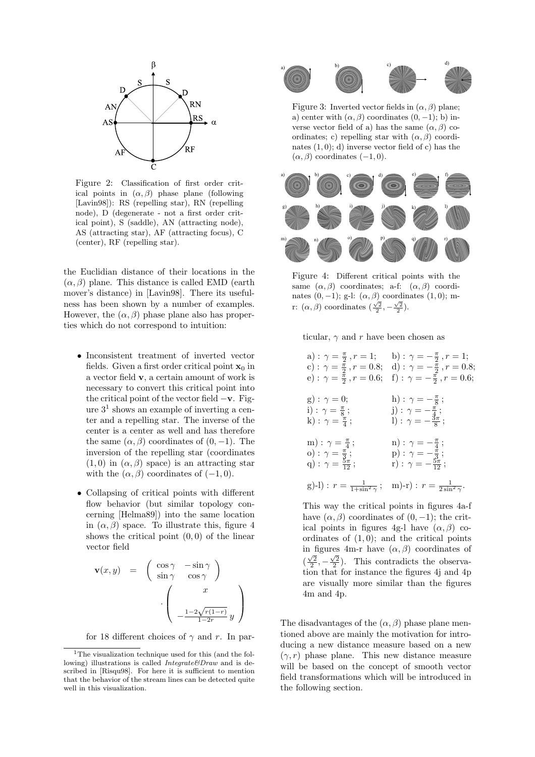

Figure 2: Classification of first order critical points in  $(\alpha, \beta)$  phase plane (following [Lavin98]): RS (repelling star), RN (repelling node), D (degenerate - not a first order critical point), S (saddle), AN (attracting node), AS (attracting star), AF (attracting focus), C (center), RF (repelling star).

the Euclidian distance of their locations in the  $(\alpha, \beta)$  plane. This distance is called EMD (earth) mover's distance) in [Lavin98]. There its usefulness has been shown by a number of examples. However, the  $(\alpha, \beta)$  phase plane also has properties which do not correspond to intuition:

- Inconsistent treatment of inverted vector fields. Given a first order critical point  $x_0$  in a vector field v, a certain amount of work is necessary to convert this critical point into the critical point of the vector field  $-\mathbf{v}$ . Figure 3 1 shows an example of inverting a center and a repelling star. The inverse of the center is a center as well and has therefore the same  $(\alpha, \beta)$  coordinates of  $(0, -1)$ . The inversion of the repelling star (coordinates  $(1, 0)$  in  $(\alpha, \beta)$  space) is an attracting star with the  $(\alpha, \beta)$  coordinates of  $(-1, 0)$ .
- Collapsing of critical points with different flow behavior (but similar topology concerning [Helma89]) into the same location in  $(\alpha, \beta)$  space. To illustrate this, figure 4 shows the critical point  $(0, 0)$  of the linear vector field

$$
\mathbf{v}(x,y) = \begin{pmatrix} \cos \gamma & -\sin \gamma \\ \sin \gamma & \cos \gamma \end{pmatrix}
$$

$$
\cdot \begin{pmatrix} x \\ -\frac{1-2\sqrt{r(1-r)}}{1-2r}y \end{pmatrix}
$$

for 18 different choices of  $\gamma$  and r. In par-



Figure 3: Inverted vector fields in  $(\alpha, \beta)$  plane; a) center with  $(\alpha, \beta)$  coordinates  $(0, -1)$ ; b) inverse vector field of a) has the same  $(\alpha, \beta)$  coordinates; c) repelling star with  $(\alpha, \beta)$  coordinates  $(1, 0)$ ; d) inverse vector field of c) has the  $(\alpha, \beta)$  coordinates  $(-1, 0)$ .



Figure 4: Different critical points with the same  $(\alpha, \beta)$  coordinates; a-f:  $(\alpha, \beta)$  coordinates  $(0, -1)$ ; g-l:  $(\alpha, \beta)$  coordinates  $(1, 0)$ ; mr:  $(\alpha, \beta)$  coordinates  $(\frac{\sqrt{2}}{2}, -\frac{\sqrt{2}}{2})$ .

ticular,  $\gamma$  and r have been chosen as

| e) : $\gamma = \frac{\pi}{2}$ , $r = 0.6$ ;                                                                    | a) : $\gamma = \frac{\pi}{2}, r = 1;$ b) : $\gamma = -\frac{\pi}{2}, r = 1;$<br>c): $\gamma = \frac{\pi}{2}$ , $r = 0.8$ ; d): $\gamma = -\frac{\pi}{2}$ , $r = 0.8$ ;<br>f): $\gamma = -\frac{\pi}{2}$ , $r = 0.6$ ; |
|----------------------------------------------------------------------------------------------------------------|-----------------------------------------------------------------------------------------------------------------------------------------------------------------------------------------------------------------------|
| $g): \gamma = 0;$<br>i) : $\gamma = \frac{\pi}{8}$ ;<br>k) : $\gamma = \frac{\pi}{4}$ ;                        | h) : $\gamma = -\frac{\pi}{8}$ ;<br>j) : $\gamma = -\frac{\pi}{4}$ ;<br>1): $\gamma = -\frac{3\pi}{8}$ ;                                                                                                              |
| $\mathrm{m}): \gamma = \frac{\pi}{4};$<br>o) : $\gamma = \frac{\pi}{3}$ ;<br>q) : $\gamma = \frac{5\pi}{12}$ ; | $n): \gamma = -\frac{\pi}{4};$<br>$p): \gamma = -\frac{\pi}{3};$<br>r) : $\gamma = -\frac{5\pi}{12}$ ;                                                                                                                |
| g)-l) : $r = \frac{1}{1 + \sin^2 \gamma}$ ;                                                                    | m)-r) : $r = \frac{1}{2\sin^2 \gamma}$ .                                                                                                                                                                              |

This way the critical points in figures 4a-f have  $(\alpha, \beta)$  coordinates of  $(0, -1)$ ; the critical points in figures 4g-l have  $(\alpha, \beta)$  coordinates of  $(1, 0)$ ; and the critical points in figures 4m-r have  $(\alpha, \beta)$  coordinates of  $(\frac{\sqrt{2}}{2}, -\frac{\sqrt{2}}{2})$ . This contradicts the observation that for instance the figures 4j and 4p are visually more similar than the figures 4m and 4p.

The disadvantages of the  $(\alpha, \beta)$  phase plane mentioned above are mainly the motivation for introducing a new distance measure based on a new  $(\gamma, r)$  phase plane. This new distance measure will be based on the concept of smooth vector field transformations which will be introduced in the following section.

<sup>&</sup>lt;sup>1</sup>The visualization technique used for this (and the following) illustrations is called  $Integrate \& Draw$  and is described in [Risqu98]. For here it is sufficient to mention that the behavior of the stream lines can be detected quite well in this visualization.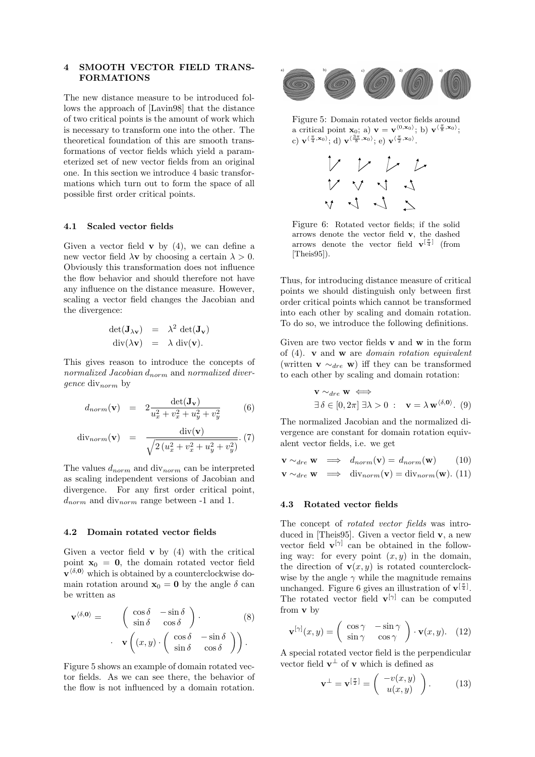## 4 SMOOTH VECTOR FIELD TRANS-FORMATIONS

The new distance measure to be introduced follows the approach of [Lavin98] that the distance of two critical points is the amount of work which is necessary to transform one into the other. The theoretical foundation of this are smooth transformations of vector fields which yield a parameterized set of new vector fields from an original one. In this section we introduce 4 basic transformations which turn out to form the space of all possible first order critical points.

#### 4.1 Scaled vector fields

Given a vector field  $\bf{v}$  by (4), we can define a new vector field  $\lambda v$  by choosing a certain  $\lambda > 0$ . Obviously this transformation does not influence the flow behavior and should therefore not have any influence on the distance measure. However, scaling a vector field changes the Jacobian and the divergence:

$$
\det(\mathbf{J}_{\lambda \mathbf{v}}) = \lambda^2 \det(\mathbf{J}_{\mathbf{v}})
$$
  
 
$$
\mathrm{div}(\lambda \mathbf{v}) = \lambda \mathrm{div}(\mathbf{v}).
$$

This gives reason to introduce the concepts of normalized Jacobian  $d_{norm}$  and normalized diver*gence* div<sub>norm</sub> by

$$
d_{norm}(\mathbf{v}) = 2 \frac{\det(\mathbf{J_v})}{u_x^2 + v_x^2 + u_y^2 + v_y^2}
$$
 (6)

$$
\text{div}_{norm}(\mathbf{v}) = \frac{\text{div}(\mathbf{v})}{\sqrt{2(u_x^2 + v_x^2 + u_y^2 + v_y^2)}}. (7)
$$

The values  $d_{norm}$  and  $div_{norm}$  can be interpreted as scaling independent versions of Jacobian and divergence. For any first order critical point,  $d_{norm}$  and  $div_{norm}$  range between -1 and 1.

#### 4.2 Domain rotated vector fields

Given a vector field  $\bf{v}$  by (4) with the critical point  $x_0 = 0$ , the domain rotated vector field  $\mathbf{v}^{\langle \delta, \mathbf{0} \rangle}$  which is obtained by a counterclockwise domain rotation around  $\mathbf{x}_0 = \mathbf{0}$  by the angle  $\delta$  can be written as

$$
\mathbf{v}^{\langle \delta, \mathbf{0} \rangle} = \begin{pmatrix} \cos \delta & -\sin \delta \\ \sin \delta & \cos \delta \end{pmatrix} . \tag{8}
$$

$$
\mathbf{v} \begin{pmatrix} (x, y) \cdot \begin{pmatrix} \cos \delta & -\sin \delta \\ \sin \delta & \cos \delta \end{pmatrix} \end{pmatrix} .
$$

Figure 5 shows an example of domain rotated vector fields. As we can see there, the behavior of the flow is not influenced by a domain rotation.



Figure 5: Domain rotated vector fields around a critical point  $\mathbf{x}_0$ ; a)  $\mathbf{v} = \mathbf{v}^{\langle 0, \mathbf{x}_0 \rangle}$ ; b)  $\mathbf{v}^{\langle \frac{\pi}{8}, \mathbf{x}_0 \rangle}$ ; c)  $\mathbf{v}^{\langle \frac{\pi}{4}, \mathbf{x}_0 \rangle}; d$   $\mathbf{v}^{\langle \frac{3\pi}{8}, \mathbf{x}_0 \rangle}; e$   $\mathbf{v}^{\langle \frac{\pi}{2}, \mathbf{x}_0 \rangle}.$ 



Figure 6: Rotated vector fields; if the solid arrows denote the vector field v, the dashed arrows denote the vector field  $\mathbf{v}^{[\frac{\pi}{4}]}$  (from  $[Theis95]$ .

Thus, for introducing distance measure of critical points we should distinguish only between first order critical points which cannot be transformed into each other by scaling and domain rotation. To do so, we introduce the following definitions.

Given are two vector fields v and w in the form of  $(4)$ . **v** and **w** are *domain rotation equivalent* (written **v**  $\sim_{dre}$  **w**) iff they can be transformed to each other by scaling and domain rotation:

$$
\mathbf{v} \sim_{dre} \mathbf{w} \iff \exists \delta \in [0, 2\pi] \exists \lambda > 0 : \mathbf{v} = \lambda \mathbf{w}^{\langle \delta, \mathbf{0} \rangle}. (9)
$$

The normalized Jacobian and the normalized divergence are constant for domain rotation equivalent vector fields, i.e. we get

$$
\mathbf{v} \sim_{dre} \mathbf{w} \implies d_{norm}(\mathbf{v}) = d_{norm}(\mathbf{w}) \qquad (10)
$$
  

$$
\mathbf{v} \sim_{dre} \mathbf{w} \implies \text{div}_{norm}(\mathbf{v}) = \text{div}_{norm}(\mathbf{w}). \tag{11}
$$

#### 4.3 Rotated vector fields

The concept of rotated vector fields was introduced in [Theis95]. Given a vector field v, a new vector field  $\mathbf{v}^{[\gamma]}$  can be obtained in the following way: for every point  $(x, y)$  in the domain, the direction of  $\mathbf{v}(x, y)$  is rotated counterclockwise by the angle  $\gamma$  while the magnitude remains unchanged. Figure 6 gives an illustration of  $\mathbf{v}^{[\frac{\pi}{4}]}$ . The rotated vector field  $\mathbf{v}^{[\gamma]}$  can be computed from v by

$$
\mathbf{v}^{[\gamma]}(x,y) = \begin{pmatrix} \cos \gamma & -\sin \gamma \\ \sin \gamma & \cos \gamma \end{pmatrix} \cdot \mathbf{v}(x,y). \quad (12)
$$

A special rotated vector field is the perpendicular vector field  $\mathbf{v}^{\perp}$  of **v** which is defined as

$$
\mathbf{v}^{\perp} = \mathbf{v}^{[\frac{\pi}{2}]} = \begin{pmatrix} -v(x,y) \\ u(x,y) \end{pmatrix}.
$$
 (13)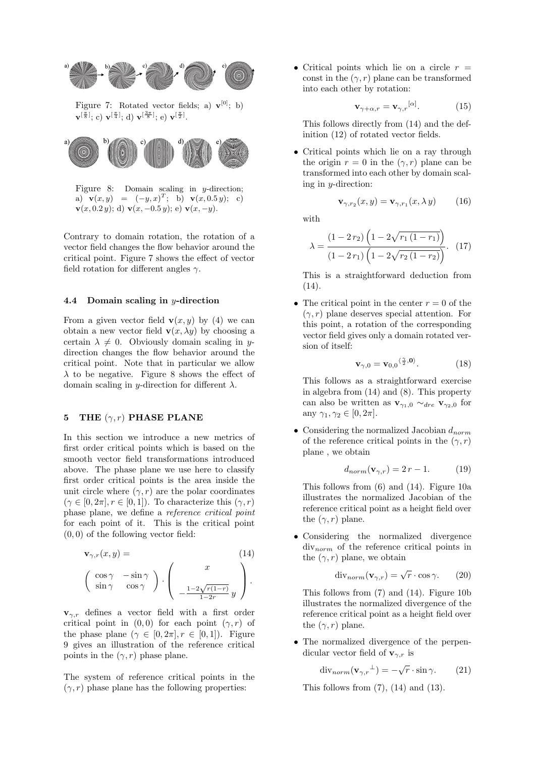

Figure 7: Rotated vector fields; a)  $\mathbf{v}^{[0]}$ ; b)  $\mathbf{v}^{[\frac{\pi}{8}]};$  c)  $\mathbf{v}^{[\frac{\pi}{4}]};$  d)  $\mathbf{v}^{[\frac{3\pi}{8}]};$  e)  $\mathbf{v}^{[\frac{\pi}{2}]}$ .



Figure 8: Domain scaling in y-direction; a)  $\mathbf{v}(x, y) = (-y, x)^T$ ; b)  $\mathbf{v}(x, 0.5 y)$ ; c)  $\mathbf{v}(x, 0.2 y);$  d)  $\mathbf{v}(x, -0.5 y);$  e)  $\mathbf{v}(x, -y)$ .

Contrary to domain rotation, the rotation of a vector field changes the flow behavior around the critical point. Figure 7 shows the effect of vector field rotation for different angles  $\gamma$ .

## 4.4 Domain scaling in y-direction

From a given vector field  $\mathbf{v}(x, y)$  by (4) we can obtain a new vector field  $\mathbf{v}(x, \lambda y)$  by choosing a certain  $\lambda \neq 0$ . Obviously domain scaling in ydirection changes the flow behavior around the critical point. Note that in particular we allow  $\lambda$  to be negative. Figure 8 shows the effect of domain scaling in y-direction for different  $\lambda$ .

## 5 THE  $(\gamma, r)$  PHASE PLANE

In this section we introduce a new metrics of first order critical points which is based on the smooth vector field transformations introduced above. The phase plane we use here to classify first order critical points is the area inside the unit circle where  $(\gamma, r)$  are the polar coordinates  $(\gamma \in [0, 2\pi], r \in [0, 1])$ . To characterize this  $(\gamma, r)$ phase plane, we define a reference critical point for each point of it. This is the critical point  $(0, 0)$  of the following vector field:

$$
\mathbf{v}_{\gamma,r}(x,y) = \qquad (14)
$$

$$
\begin{pmatrix} \cos \gamma & -\sin \gamma \\ \sin \gamma & \cos \gamma \end{pmatrix} \cdot \begin{pmatrix} x \\ -\frac{1-2\sqrt{r(1-r)}}{1-2r}y \end{pmatrix}.
$$

 ${\bf v}_{\gamma,r}$  defines a vector field with a first order critical point in  $(0, 0)$  for each point  $(\gamma, r)$  of the phase plane  $(\gamma \in [0, 2\pi], r \in [0, 1])$ . Figure 9 gives an illustration of the reference critical points in the  $(\gamma, r)$  phase plane.

The system of reference critical points in the  $(\gamma, r)$  phase plane has the following properties:

• Critical points which lie on a circle  $r =$ const in the  $(\gamma, r)$  plane can be transformed into each other by rotation:

$$
\mathbf{v}_{\gamma+\alpha,r} = \mathbf{v}_{\gamma,r}^{[\alpha]}.\tag{15}
$$

This follows directly from (14) and the definition (12) of rotated vector fields.

• Critical points which lie on a ray through the origin  $r = 0$  in the  $(\gamma, r)$  plane can be transformed into each other by domain scaling in  $y$ -direction:

$$
\mathbf{v}_{\gamma, r_2}(x, y) = \mathbf{v}_{\gamma, r_1}(x, \lambda y) \tag{16}
$$

with

 $\frac{1}{2}$ 

$$
\lambda = \frac{(1 - 2r_2) \left(1 - 2\sqrt{r_1 (1 - r_1)}\right)}{(1 - 2r_1) \left(1 - 2\sqrt{r_2 (1 - r_2)}\right)}.
$$
 (17)

This is a straightforward deduction from (14).

• The critical point in the center  $r = 0$  of the  $(\gamma, r)$  plane deserves special attention. For this point, a rotation of the corresponding vector field gives only a domain rotated version of itself:

$$
\mathbf{v}_{\gamma,0} = \mathbf{v}_{0,0} \langle \frac{\gamma}{2}, \mathbf{0} \rangle. \tag{18}
$$

This follows as a straightforward exercise in algebra from (14) and (8). This property can also be written as  $\mathbf{v}_{\gamma_1,0} \sim_{\text{dre}} \mathbf{v}_{\gamma_2,0}$  for any  $\gamma_1, \gamma_2 \in [0, 2\pi]$ .

• Considering the normalized Jacobian  $d_{norm}$ of the reference critical points in the  $(\gamma, r)$ plane , we obtain

$$
d_{norm}(\mathbf{v}_{\gamma,r}) = 2r - 1. \tag{19}
$$

This follows from (6) and (14). Figure 10a illustrates the normalized Jacobian of the reference critical point as a height field over the  $(\gamma, r)$  plane.

• Considering the normalized divergence  $div_{norm}$  of the reference critical points in the  $(\gamma, r)$  plane, we obtain

$$
\text{div}_{norm}(\mathbf{v}_{\gamma,r}) = \sqrt{r} \cdot \cos \gamma. \qquad (20)
$$

This follows from (7) and (14). Figure 10b illustrates the normalized divergence of the reference critical point as a height field over the  $(\gamma, r)$  plane.

• The normalized divergence of the perpendicular vector field of  $\mathbf{v}_{\gamma,r}$  is

$$
\operatorname{div}_{norm}(\mathbf{v}_{\gamma,r}{}^{\perp}) = -\sqrt{r} \cdot \sin \gamma. \tag{21}
$$

This follows from  $(7)$ ,  $(14)$  and  $(13)$ .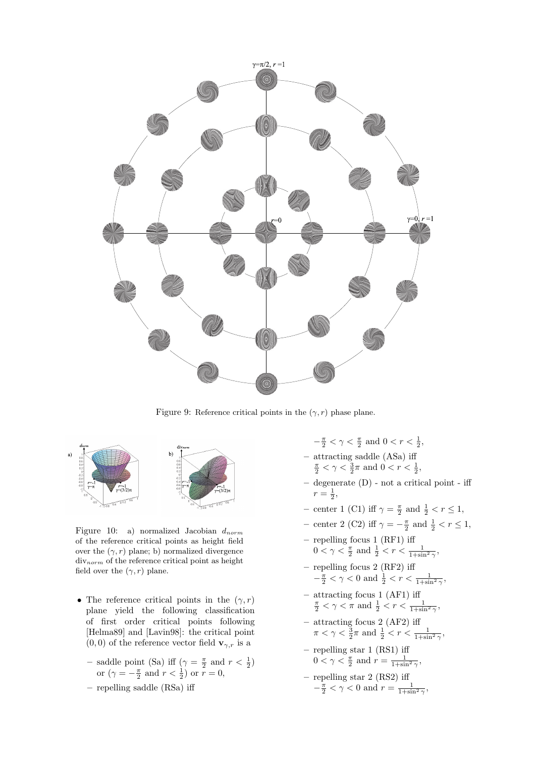

Figure 9: Reference critical points in the  $(\gamma, r)$  phase plane.



Figure 10: a) normalized Jacobian  $d_{norm}$ of the reference critical points as height field over the  $(\gamma, r)$  plane; b) normalized divergence  $div_{norm}$  of the reference critical point as height field over the  $(\gamma, r)$  plane.

- The reference critical points in the  $(\gamma, r)$ plane yield the following classification of first order critical points following [Helma89] and [Lavin98]: the critical point  $(0,0)$  of the reference vector field  $\mathbf{v}_{\gamma,r}$  is a
	- saddle point (Sa) iff  $(\gamma = \frac{\pi}{2} \text{ and } r < \frac{1}{2})$ or  $(\gamma = -\frac{\pi}{2} \text{ and } r < \frac{1}{2})$  or  $r = 0$ ,
	- repelling saddle (RSa) iff
- $-\frac{\pi}{2} < \gamma < \frac{\pi}{2}$  and  $0 < r < \frac{1}{2}$ ,
- attracting saddle (ASa) iff<br> $\frac{\pi}{2} < \gamma < \frac{3}{2}\pi$  and  $0 < r < \frac{1}{2}$ ,
- degenerate (D) not a critical point iff  $r = \frac{1}{2},$
- center 1 (C1) iff  $\gamma = \frac{\pi}{2}$  and  $\frac{1}{2} < r \le 1$ ,
- center 2 (C2) iff  $\gamma = -\frac{\pi}{2}$  and  $\frac{1}{2} < r \le 1$ ,
- repelling focus 1 (RF1) iff  $0 < \gamma < \frac{\pi}{2}$  and  $\frac{1}{2} < r < \frac{1}{1 + \sin^2 \gamma}$ ,
- repelling focus 2 (RF2) iff  $-\frac{\pi}{2} < \gamma < 0$  and  $\frac{1}{2} < r < \frac{1}{1+\sin^2 \gamma}$ ,
- attracting focus 1 (AF1) iff<br>  $\frac{\pi}{2} < \gamma < \pi$  and  $\frac{1}{2} < r < \frac{1}{1+\sin^2 \gamma}$ ,
- attracting focus 2 (AF2) iff  $\pi < \gamma < \frac{3}{2}\pi$  and  $\frac{1}{2} < r < \frac{1}{1+\sin^2 \gamma}$ ,
- repelling star 1 (RS1) iff  $0 < \gamma < \frac{\pi}{2}$  and  $r = \frac{1}{1 + \sin^2 \gamma}$ ,
- repelling star 2 (RS2) iff  $-\frac{\pi}{2} < \gamma < 0$  and  $r = \frac{1}{1+\sin^2 \gamma}$ ,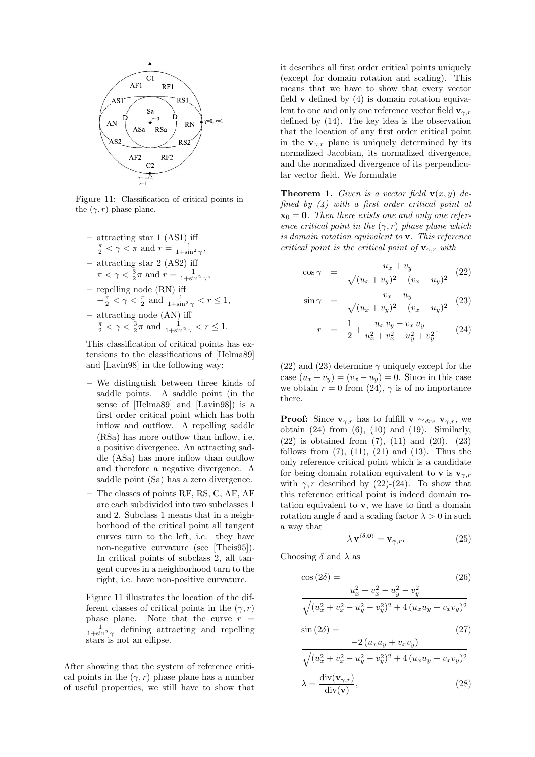

Figure 11: Classification of critical points in the  $(\gamma, r)$  phase plane.

- attracting star 1 (AS1) iff<br>  $\frac{\pi}{2} < \gamma < \pi$  and  $r = \frac{1}{1 + \sin^2 \gamma}$ , – attracting star 2 (AS2) iff  $\pi < \gamma < \frac{3}{2}\pi$  and  $r = \frac{1}{1+\sin^2 \gamma}$ , – repelling node (RN) iff
- $-\frac{\pi}{2} < \gamma < \frac{\pi}{2}$  and  $\frac{1}{1+\sin^2 \gamma} < r \leq 1$ , - attracting node (AN) iff<br>  $\frac{\pi}{2} < \gamma < \frac{3}{2}\pi$  and  $\frac{1}{1+\sin^2 \gamma} < r \le 1$ .

This classification of critical points has extensions to the classifications of [Helma89] and [Lavin98] in the following way:

- We distinguish between three kinds of saddle points. A saddle point (in the sense of [Helma89] and [Lavin98]) is a first order critical point which has both inflow and outflow. A repelling saddle (RSa) has more outflow than inflow, i.e. a positive divergence. An attracting saddle (ASa) has more inflow than outflow and therefore a negative divergence. A saddle point (Sa) has a zero divergence.
- The classes of points RF, RS, C, AF, AF are each subdivided into two subclasses 1 and 2. Subclass 1 means that in a neighborhood of the critical point all tangent curves turn to the left, i.e. they have non-negative curvature (see [Theis95]). In critical points of subclass 2, all tangent curves in a neighborhood turn to the right, i.e. have non-positive curvature.

Figure 11 illustrates the location of the different classes of critical points in the  $(\gamma, r)$ phase plane. Note that the curve  $r =$  $\frac{1}{1+\sin^2 \gamma}$  defining attracting and repelling stars is not an ellipse.

After showing that the system of reference critical points in the  $(\gamma, r)$  phase plane has a number of useful properties, we still have to show that

it describes all first order critical points uniquely (except for domain rotation and scaling). This means that we have to show that every vector field  $\bf{v}$  defined by (4) is domain rotation equivalent to one and only one reference vector field  $\mathbf{v}_{\gamma,r}$ defined by (14). The key idea is the observation that the location of any first order critical point in the  $\mathbf{v}_{\gamma,r}$  plane is uniquely determined by its normalized Jacobian, its normalized divergence, and the normalized divergence of its perpendicular vector field. We formulate

**Theorem 1.** Given is a vector field  $\mathbf{v}(x, y)$  defined by  $(4)$  with a first order critical point at  $\mathbf{x}_0 = \mathbf{0}$ . Then there exists one and only one reference critical point in the  $(\gamma, r)$  phase plane which is domain rotation equivalent to v. This reference critical point is the critical point of  $\mathbf{v}_{\gamma,r}$  with

$$
\cos \gamma = \frac{u_x + v_y}{\sqrt{(u_x + v_y)^2 + (v_x - u_y)^2}} \quad (22)
$$

$$
\sin \gamma = \frac{v_x - u_y}{\sqrt{(u_x + v_y)^2 + (v_x - u_y)^2}} \quad (23)
$$

$$
r = \frac{1}{2} + \frac{u_x v_y - v_x u_y}{u_x^2 + v_x^2 + u_y^2 + v_y^2}.
$$
 (24)

(22) and (23) determine  $\gamma$  uniquely except for the case  $(u_x + v_y) = (v_x - u_y) = 0$ . Since in this case we obtain  $r = 0$  from (24),  $\gamma$  is of no importance there.

**Proof:** Since  $\mathbf{v}_{\gamma,r}$  has to fulfill  $\mathbf{v} \sim_{\text{dre}} \mathbf{v}_{\gamma,r}$ , we obtain  $(24)$  from  $(6)$ ,  $(10)$  and  $(19)$ . Similarly, (22) is obtained from (7), (11) and (20). (23) follows from  $(7)$ ,  $(11)$ ,  $(21)$  and  $(13)$ . Thus the only reference critical point which is a candidate for being domain rotation equivalent to **v** is  $\mathbf{v}_{\gamma,r}$ with  $\gamma$ , r described by (22)-(24). To show that this reference critical point is indeed domain rotation equivalent to v, we have to find a domain rotation angle  $\delta$  and a scaling factor  $\lambda > 0$  in such a way that

$$
\lambda \mathbf{v}^{\langle \delta, \mathbf{0} \rangle} = \mathbf{v}_{\gamma, r}.\tag{25}
$$

Choosing  $\delta$  and  $\lambda$  as

$$
\cos (2\delta) = (26)
$$
  

$$
\frac{u_x^2 + v_x^2 - u_y^2 - v_y^2}{\sqrt{(u_x^2 + v_x^2 - u_y^2 - v_y^2)^2 + 4(u_x u_y + v_x v_y)^2}}
$$

$$
\sin(2\delta) = -2(u_x u_y + v_x v_y) \tag{27}
$$

$$
\sqrt{(u_x^2 + v_x^2 - u_y^2 - v_y^2)^2 + 4(u_x u_y + v_x v_y)^2}
$$

$$
\lambda = \frac{\text{div}(\mathbf{v}_{\gamma,r})}{\text{div}(\mathbf{v})},
$$
(28)